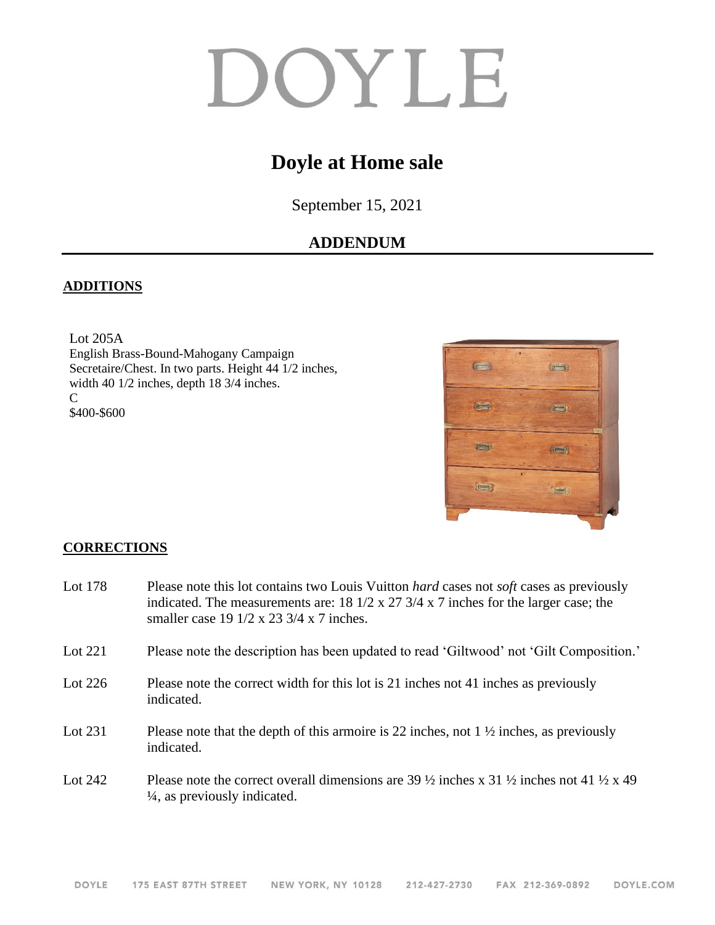# DOYLE

## **Doyle at Home sale**

September 15, 2021

### **ADDENDUM**

#### **ADDITIONS**

Lot 205A English Brass-Bound-Mahogany Campaign Secretaire/Chest. In two parts. Height 44 1/2 inches, width 40 1/2 inches, depth 18 3/4 inches. C \$400-\$600



#### **CORRECTIONS**

| Lot 178   | Please note this lot contains two Louis Vuitton <i>hard</i> cases not <i>soft</i> cases as previously<br>indicated. The measurements are: 18 $1/2 \times 27$ 3/4 $\times$ 7 inches for the larger case; the<br>smaller case 19 $1/2$ x 23 $3/4$ x 7 inches. |
|-----------|-------------------------------------------------------------------------------------------------------------------------------------------------------------------------------------------------------------------------------------------------------------|
| Lot $221$ | Please note the description has been updated to read 'Giltwood' not 'Gilt Composition.'                                                                                                                                                                     |
| Lot $226$ | Please note the correct width for this lot is 21 inches not 41 inches as previously<br>indicated.                                                                                                                                                           |
| Lot 231   | Please note that the depth of this armoire is 22 inches, not $1\frac{1}{2}$ inches, as previously<br>indicated.                                                                                                                                             |
| Lot 242   | Please note the correct overall dimensions are 39 $\frac{1}{2}$ inches x 31 $\frac{1}{2}$ inches not 41 $\frac{1}{2}$ x 49<br>$\frac{1}{4}$ , as previously indicated.                                                                                      |